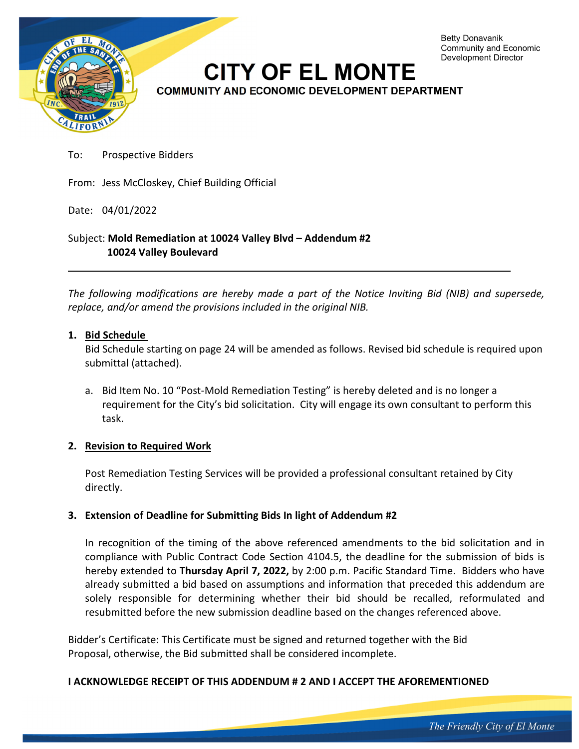

To: Prospective Bidders

From: Jess McCloskey, Chief Building Official

Date: 04/01/2022

Subject: **Mold Remediation at 10024 Valley Blvd – Addendum #2 10024 Valley Boulevard** 

*The following modifications are hereby made a part of the Notice Inviting Bid (NIB) and supersede, replace, and/or amend the provisions included in the original NIB.* 

### **1. Bid Schedule**

Bid Schedule starting on page 24 will be amended as follows. Revised bid schedule is required upon submittal (attached).

a. Bid Item No. 10 "Post-Mold Remediation Testing" is hereby deleted and is no longer a requirement for the City's bid solicitation. City will engage its own consultant to perform this task.

#### **2. Revision to Required Work**

Post Remediation Testing Services will be provided a professional consultant retained by City directly.

# **3. Extension of Deadline for Submitting Bids In light of Addendum #2**

In recognition of the timing of the above referenced amendments to the bid solicitation and in compliance with Public Contract Code Section 4104.5, the deadline for the submission of bids is hereby extended to **Thursday April 7, 2022,** by 2:00 p.m. Pacific Standard Time. Bidders who have already submitted a bid based on assumptions and information that preceded this addendum are solely responsible for determining whether their bid should be recalled, reformulated and resubmitted before the new submission deadline based on the changes referenced above.

Bidder's Certificate: This Certificate must be signed and returned together with the Bid Proposal, otherwise, the Bid submitted shall be considered incomplete.

#### **I ACKNOWLEDGE RECEIPT OF THIS ADDENDUM # 2 AND I ACCEPT THE AFOREMENTIONED**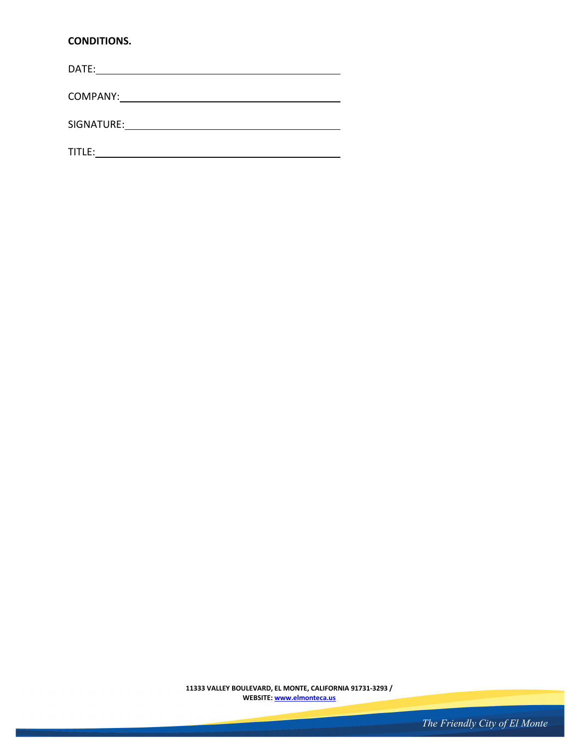# **CONDITIONS.**

DATE:

COMPANY:

L,

SIGNATURE:

TITLE:

**11333 VALLEY BOULEVARD, EL MONTE, CALIFORNIA 91731-3293 / WEBSITE: www.elmonteca.us**